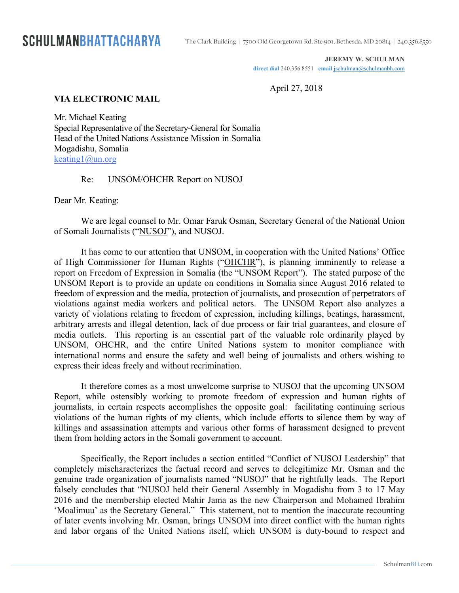**JEREMY W. SCHULMAN**

direct dial 240.356.8551 **email** jschulman@schulmanbh.com

April 27, 2018

### **VIA ELECTRONIC MAIL**

Mr. Michael Keating Special Representative of the Secretary-General for Somalia Head of the United Nations Assistance Mission in Somalia Mogadishu, Somalia keating1@un.org

#### Re: UNSOM/OHCHR Report on NUSOJ

Dear Mr. Keating:

We are legal counsel to Mr. Omar Faruk Osman, Secretary General of the National Union of Somali Journalists ("NUSOJ"), and NUSOJ.

It has come to our attention that UNSOM, in cooperation with the United Nations' Office of High Commissioner for Human Rights ("OHCHR"), is planning imminently to release a report on Freedom of Expression in Somalia (the "UNSOM Report"). The stated purpose of the UNSOM Report is to provide an update on conditions in Somalia since August 2016 related to freedom of expression and the media, protection of journalists, and prosecution of perpetrators of violations against media workers and political actors. The UNSOM Report also analyzes a variety of violations relating to freedom of expression, including killings, beatings, harassment, arbitrary arrests and illegal detention, lack of due process or fair trial guarantees, and closure of media outlets. This reporting is an essential part of the valuable role ordinarily played by UNSOM, OHCHR, and the entire United Nations system to monitor compliance with international norms and ensure the safety and well being of journalists and others wishing to express their ideas freely and without recrimination.

It therefore comes as a most unwelcome surprise to NUSOJ that the upcoming UNSOM Report, while ostensibly working to promote freedom of expression and human rights of journalists, in certain respects accomplishes the opposite goal: facilitating continuing serious violations of the human rights of my clients, which include efforts to silence them by way of killings and assassination attempts and various other forms of harassment designed to prevent them from holding actors in the Somali government to account.

Specifically, the Report includes a section entitled "Conflict of NUSOJ Leadership" that completely mischaracterizes the factual record and serves to delegitimize Mr. Osman and the genuine trade organization of journalists named "NUSOJ" that he rightfully leads. The Report falsely concludes that "NUSOJ held their General Assembly in Mogadishu from 3 to 17 May 2016 and the membership elected Mahir Jama as the new Chairperson and Mohamed Ibrahim 'Moalimuu' as the Secretary General." This statement, not to mention the inaccurate recounting of later events involving Mr. Osman, brings UNSOM into direct conflict with the human rights and labor organs of the United Nations itself, which UNSOM is duty-bound to respect and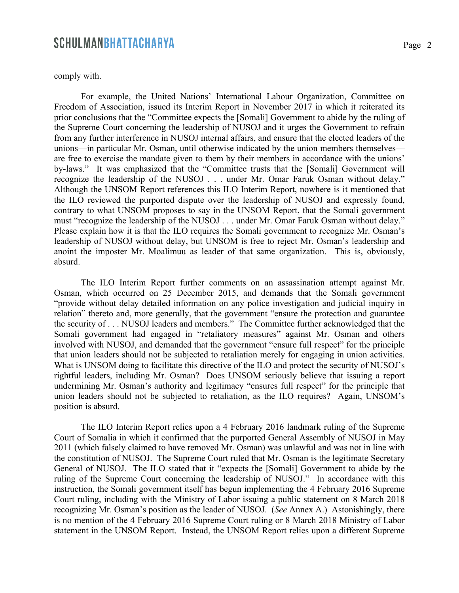comply with.

For example, the United Nations' International Labour Organization, Committee on Freedom of Association, issued its Interim Report in November 2017 in which it reiterated its prior conclusions that the "Committee expects the [Somali] Government to abide by the ruling of the Supreme Court concerning the leadership of NUSOJ and it urges the Government to refrain from any further interference in NUSOJ internal affairs, and ensure that the elected leaders of the unions—in particular Mr. Osman, until otherwise indicated by the union members themselves are free to exercise the mandate given to them by their members in accordance with the unions' by-laws." It was emphasized that the "Committee trusts that the [Somali] Government will recognize the leadership of the NUSOJ . . . under Mr. Omar Faruk Osman without delay." Although the UNSOM Report references this ILO Interim Report, nowhere is it mentioned that the ILO reviewed the purported dispute over the leadership of NUSOJ and expressly found, contrary to what UNSOM proposes to say in the UNSOM Report, that the Somali government must "recognize the leadership of the NUSOJ . . . under Mr. Omar Faruk Osman without delay." Please explain how it is that the ILO requires the Somali government to recognize Mr. Osman's leadership of NUSOJ without delay, but UNSOM is free to reject Mr. Osman's leadership and anoint the imposter Mr. Moalimuu as leader of that same organization. This is, obviously, absurd.

The ILO Interim Report further comments on an assassination attempt against Mr. Osman, which occurred on 25 December 2015, and demands that the Somali government "provide without delay detailed information on any police investigation and judicial inquiry in relation" thereto and, more generally, that the government "ensure the protection and guarantee the security of . . . NUSOJ leaders and members." The Committee further acknowledged that the Somali government had engaged in "retaliatory measures" against Mr. Osman and others involved with NUSOJ, and demanded that the government "ensure full respect" for the principle that union leaders should not be subjected to retaliation merely for engaging in union activities. What is UNSOM doing to facilitate this directive of the ILO and protect the security of NUSOJ's rightful leaders, including Mr. Osman? Does UNSOM seriously believe that issuing a report undermining Mr. Osman's authority and legitimacy "ensures full respect" for the principle that union leaders should not be subjected to retaliation, as the ILO requires? Again, UNSOM's position is absurd.

The ILO Interim Report relies upon a 4 February 2016 landmark ruling of the Supreme Court of Somalia in which it confirmed that the purported General Assembly of NUSOJ in May 2011 (which falsely claimed to have removed Mr. Osman) was unlawful and was not in line with the constitution of NUSOJ. The Supreme Court ruled that Mr. Osman is the legitimate Secretary General of NUSOJ. The ILO stated that it "expects the [Somali] Government to abide by the ruling of the Supreme Court concerning the leadership of NUSOJ." In accordance with this instruction, the Somali government itself has begun implementing the 4 February 2016 Supreme Court ruling, including with the Ministry of Labor issuing a public statement on 8 March 2018 recognizing Mr. Osman's position as the leader of NUSOJ. (*See* Annex A.) Astonishingly, there is no mention of the 4 February 2016 Supreme Court ruling or 8 March 2018 Ministry of Labor statement in the UNSOM Report. Instead, the UNSOM Report relies upon a different Supreme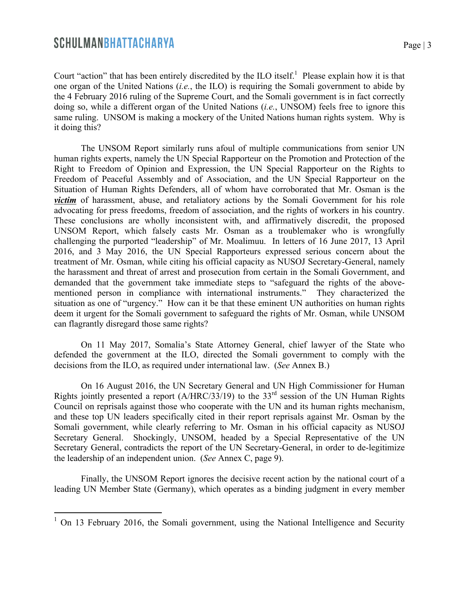Court "action" that has been entirely discredited by the ILO itself.<sup>1</sup> Please explain how it is that one organ of the United Nations (*i.e.*, the ILO) is requiring the Somali government to abide by the 4 February 2016 ruling of the Supreme Court, and the Somali government is in fact correctly doing so, while a different organ of the United Nations (*i.e.*, UNSOM) feels free to ignore this same ruling. UNSOM is making a mockery of the United Nations human rights system. Why is it doing this?

The UNSOM Report similarly runs afoul of multiple communications from senior UN human rights experts, namely the UN Special Rapporteur on the Promotion and Protection of the Right to Freedom of Opinion and Expression, the UN Special Rapporteur on the Rights to Freedom of Peaceful Assembly and of Association, and the UN Special Rapporteur on the Situation of Human Rights Defenders, all of whom have corroborated that Mr. Osman is the *victim* of harassment, abuse, and retaliatory actions by the Somali Government for his role advocating for press freedoms, freedom of association, and the rights of workers in his country. These conclusions are wholly inconsistent with, and affirmatively discredit, the proposed UNSOM Report, which falsely casts Mr. Osman as a troublemaker who is wrongfully challenging the purported "leadership" of Mr. Moalimuu. In letters of 16 June 2017, 13 April 2016, and 3 May 2016, the UN Special Rapporteurs expressed serious concern about the treatment of Mr. Osman, while citing his official capacity as NUSOJ Secretary-General, namely the harassment and threat of arrest and prosecution from certain in the Somali Government, and demanded that the government take immediate steps to "safeguard the rights of the abovementioned person in compliance with international instruments." They characterized the situation as one of "urgency." How can it be that these eminent UN authorities on human rights deem it urgent for the Somali government to safeguard the rights of Mr. Osman, while UNSOM can flagrantly disregard those same rights?

On 11 May 2017, Somalia's State Attorney General, chief lawyer of the State who defended the government at the ILO, directed the Somali government to comply with the decisions from the ILO, as required under international law. (*See* Annex B.)

On 16 August 2016, the UN Secretary General and UN High Commissioner for Human Rights jointly presented a report  $(A/HRC/33/19)$  to the 33<sup>rd</sup> session of the UN Human Rights Council on reprisals against those who cooperate with the UN and its human rights mechanism, and these top UN leaders specifically cited in their report reprisals against Mr. Osman by the Somali government, while clearly referring to Mr. Osman in his official capacity as NUSOJ Secretary General. Shockingly, UNSOM, headed by a Special Representative of the UN Secretary General, contradicts the report of the UN Secretary-General, in order to de-legitimize the leadership of an independent union. (*See* Annex C, page 9).

Finally, the UNSOM Report ignores the decisive recent action by the national court of a leading UN Member State (Germany), which operates as a binding judgment in every member

<sup>&</sup>lt;sup>1</sup> On 13 February 2016, the Somali government, using the National Intelligence and Security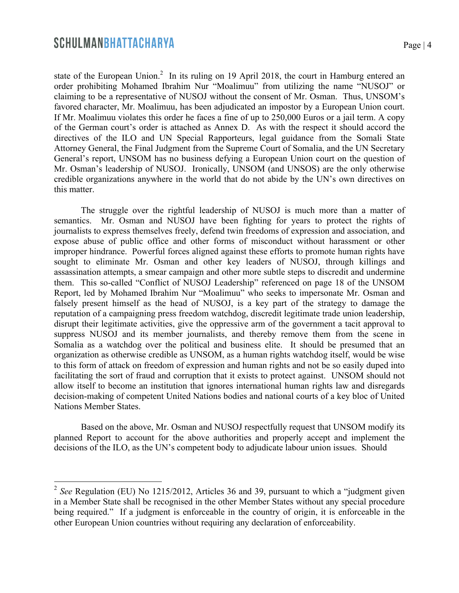state of the European Union.<sup>2</sup> In its ruling on 19 April 2018, the court in Hamburg entered an order prohibiting Mohamed Ibrahim Nur "Moalimuu" from utilizing the name "NUSOJ" or claiming to be a representative of NUSOJ without the consent of Mr. Osman. Thus, UNSOM's favored character, Mr. Moalimuu, has been adjudicated an impostor by a European Union court. If Mr. Moalimuu violates this order he faces a fine of up to 250,000 Euros or a jail term. A copy of the German court's order is attached as Annex D. As with the respect it should accord the directives of the ILO and UN Special Rapporteurs, legal guidance from the Somali State Attorney General, the Final Judgment from the Supreme Court of Somalia, and the UN Secretary General's report, UNSOM has no business defying a European Union court on the question of Mr. Osman's leadership of NUSOJ. Ironically, UNSOM (and UNSOS) are the only otherwise credible organizations anywhere in the world that do not abide by the UN's own directives on this matter.

The struggle over the rightful leadership of NUSOJ is much more than a matter of semantics. Mr. Osman and NUSOJ have been fighting for years to protect the rights of journalists to express themselves freely, defend twin freedoms of expression and association, and expose abuse of public office and other forms of misconduct without harassment or other improper hindrance. Powerful forces aligned against these efforts to promote human rights have sought to eliminate Mr. Osman and other key leaders of NUSOJ, through killings and assassination attempts, a smear campaign and other more subtle steps to discredit and undermine them. This so-called "Conflict of NUSOJ Leadership" referenced on page 18 of the UNSOM Report, led by Mohamed Ibrahim Nur "Moalimuu" who seeks to impersonate Mr. Osman and falsely present himself as the head of NUSOJ, is a key part of the strategy to damage the reputation of a campaigning press freedom watchdog, discredit legitimate trade union leadership, disrupt their legitimate activities, give the oppressive arm of the government a tacit approval to suppress NUSOJ and its member journalists, and thereby remove them from the scene in Somalia as a watchdog over the political and business elite. It should be presumed that an organization as otherwise credible as UNSOM, as a human rights watchdog itself, would be wise to this form of attack on freedom of expression and human rights and not be so easily duped into facilitating the sort of fraud and corruption that it exists to protect against. UNSOM should not allow itself to become an institution that ignores international human rights law and disregards decision-making of competent United Nations bodies and national courts of a key bloc of United Nations Member States.

Based on the above, Mr. Osman and NUSOJ respectfully request that UNSOM modify its planned Report to account for the above authorities and properly accept and implement the decisions of the ILO, as the UN's competent body to adjudicate labour union issues. Should

 <sup>2</sup> *See* Regulation (EU) No 1215/2012, Articles 36 and 39, pursuant to which a "judgment given in a Member State shall be recognised in the other Member States without any special procedure being required." If a judgment is enforceable in the country of origin, it is enforceable in the other European Union countries without requiring any declaration of enforceability.